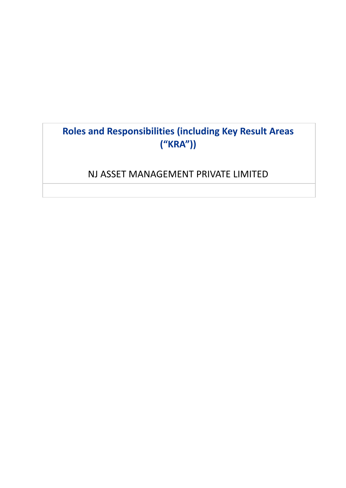# **Roles and Responsibilities (including Key Result Areas ("KRA"))**

# NJ ASSET MANAGEMENT PRIVATE LIMITED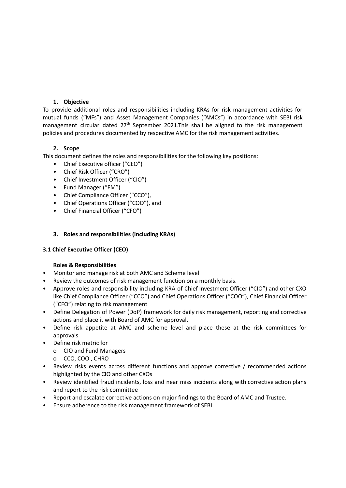#### **1. Objective**

To provide additional roles and responsibilities including KRAs for risk management activities for mutual funds ("MFs") and Asset Management Companies ("AMCs") in accordance with SEBI risk management circular dated 27<sup>th</sup> September 2021.This shall be aligned to the risk management policies and procedures documented by respective AMC for the risk management activities.

## **2. Scope**

This document defines the roles and responsibilities for the following key positions:

- Chief Executive officer ("CEO")
- Chief Risk Officer ("CRO")
- Chief Investment Officer ("CIO")
- Fund Manager ("FM")
- Chief Compliance Officer ("CCO"),
- Chief Operations Officer ("COO"), and
- Chief Financial Officer ("CFO")

#### **3. Roles and responsibilities (including KRAs)**

## **3.1 Chief Executive Officer (CEO)**

- Monitor and manage risk at both AMC and Scheme level
- Review the outcomes of risk management function on a monthly basis.
- Approve roles and responsibility including KRA of Chief Investment Officer ("CIO") and other CXO like Chief Compliance Officer ("CCO") and Chief Operations Officer ("COO"), Chief Financial Officer ("CFO") relating to risk management
- Define Delegation of Power (DoP) framework for daily risk management, reporting and corrective actions and place it with Board of AMC for approval.
- Define risk appetite at AMC and scheme level and place these at the risk committees for approvals.
- Define risk metric for
	- o CIO and Fund Managers
	- o CCO, COO , CHRO
- Review risks events across different functions and approve corrective / recommended actions highlighted by the CIO and other CXOs
- Review identified fraud incidents, loss and near miss incidents along with corrective action plans and report to the risk committee
- Report and escalate corrective actions on major findings to the Board of AMC and Trustee.
- Ensure adherence to the risk management framework of SEBI.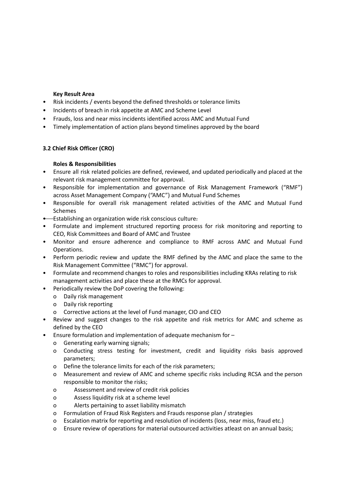#### **Key Result Area**

- Risk incidents / events beyond the defined thresholds or tolerance limits
- Incidents of breach in risk appetite at AMC and Scheme Level
- Frauds, loss and near miss incidents identified across AMC and Mutual Fund
- Timely implementation of action plans beyond timelines approved by the board

#### **3.2 Chief Risk Officer (CRO)**

- Ensure all risk related policies are defined, reviewed, and updated periodically and placed at the relevant risk management committee for approval.
- Responsible for implementation and governance of Risk Management Framework ("RMF") across Asset Management Company ("AMC") and Mutual Fund Schemes
- Responsible for overall risk management related activities of the AMC and Mutual Fund Schemes
- Establishing an organization wide risk conscious culture.
- Formulate and implement structured reporting process for risk monitoring and reporting to CEO, Risk Committees and Board of AMC and Trustee
- Monitor and ensure adherence and compliance to RMF across AMC and Mutual Fund Operations.
- Perform periodic review and update the RMF defined by the AMC and place the same to the Risk Management Committee ("RMC") for approval.
- Formulate and recommend changes to roles and responsibilities including KRAs relating to risk management activities and place these at the RMCs for approval.
- Periodically review the DoP covering the following:
	- o Daily risk management
	- o Daily risk reporting
	- o Corrective actions at the level of Fund manager, CIO and CEO
- Review and suggest changes to the risk appetite and risk metrics for AMC and scheme as defined by the CEO
- Ensure formulation and implementation of adequate mechanism for
	- o Generating early warning signals;
	- o Conducting stress testing for investment, credit and liquidity risks basis approved parameters;
	- o Define the tolerance limits for each of the risk parameters;
	- o Measurement and review of AMC and scheme specific risks including RCSA and the person responsible to monitor the risks;
	- o Assessment and review of credit risk policies
	- o Assess liquidity risk at a scheme level
	- o Alerts pertaining to asset liability mismatch
	- o Formulation of Fraud Risk Registers and Frauds response plan / strategies
	- o Escalation matrix for reporting and resolution of incidents (loss, near miss, fraud etc.)
	- o Ensure review of operations for material outsourced activities atleast on an annual basis;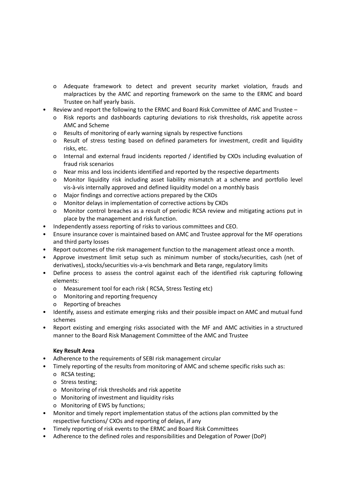- o Adequate framework to detect and prevent security market violation, frauds and malpractices by the AMC and reporting framework on the same to the ERMC and board Trustee on half yearly basis.
- Review and report the following to the ERMC and Board Risk Committee of AMC and Trustee
	- o Risk reports and dashboards capturing deviations to risk thresholds, risk appetite across AMC and Scheme
	- o Results of monitoring of early warning signals by respective functions
	- o Result of stress testing based on defined parameters for investment, credit and liquidity risks, etc.
	- o Internal and external fraud incidents reported / identified by CXOs including evaluation of fraud risk scenarios
	- o Near miss and loss incidents identified and reported by the respective departments
	- o Monitor liquidity risk including asset liability mismatch at a scheme and portfolio level vis-à-vis internally approved and defined liquidity model on a monthly basis
	- o Major findings and corrective actions prepared by the CXOs
	- o Monitor delays in implementation of corrective actions by CXOs
	- o Monitor control breaches as a result of periodic RCSA review and mitigating actions put in place by the management and risk function.
- Independently assess reporting of risks to various committees and CEO.
- Ensure insurance cover is maintained based on AMC and Trustee approval for the MF operations and third party losses
- Report outcomes of the risk management function to the management atleast once a month.
- Approve investment limit setup such as minimum number of stocks/securities, cash (net of derivatives), stocks/securities vis-a-vis benchmark and Beta range, regulatory limits
- Define process to assess the control against each of the identified risk capturing following elements:
	- o Measurement tool for each risk ( RCSA, Stress Testing etc)
	- o Monitoring and reporting frequency
	- o Reporting of breaches
- Identify, assess and estimate emerging risks and their possible impact on AMC and mutual fund schemes
- Report existing and emerging risks associated with the MF and AMC activities in a structured manner to the Board Risk Management Committee of the AMC and Trustee

## **Key Result Area**

- Adherence to the requirements of SEBI risk management circular
- Timely reporting of the results from monitoring of AMC and scheme specific risks such as:
	- o RCSA testing;
	- o Stress testing;
	- o Monitoring of risk thresholds and risk appetite
	- o Monitoring of investment and liquidity risks
	- o Monitoring of EWS by functions;
- Monitor and timely report implementation status of the actions plan committed by the respective functions/ CXOs and reporting of delays, if any
- Timely reporting of risk events to the ERMC and Board Risk Committees
- Adherence to the defined roles and responsibilities and Delegation of Power (DoP)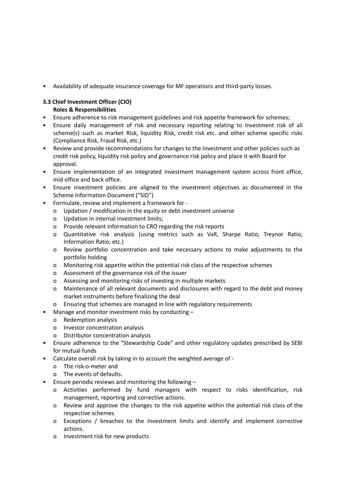• Availability of adequate insurance coverage for MF operations and third-party losses.

# **3.3 Chief Investment Officer (CIO)**

- Ensure adherence to risk management guidelines and risk appetite framework for schemes;
- Ensure daily management of risk and necessary reporting relating to Investment risk of all scheme(s) such as market Risk, liquidity Risk, credit risk etc. and other scheme specific risks (Compliance Risk, Fraud Risk, etc.)
- Review and provide recommendations for changes to the Investment and other policies such as credit risk policy, liquidity risk policy and governance risk policy and place it with Board for approval.
- Ensure implementation of an integrated investment management system across front office, mid office and back office.
- Ensure investment policies are aligned to the investment objectives as documented in the Scheme Information Document ("SID")
- Formulate, review and implement a framework for
	- o Updation / modification in the equity or debt investment universe
	- o Updation in internal investment limits;
	- o Provide relevant information to CRO regarding the risk reports
	- o Quantitative risk analysis (using metrics such as VaR, Sharpe Ratio, Treynor Ratio, Information Ratio, etc.)
	- o Review portfolio concentration and take necessary actions to make adjustments to the portfolio holding
	- o Monitoring risk appetite within the potential risk class of the respective schemes
	- o Assessment of the governance risk of the issuer
	- o Assessing and monitoring risks of investing in multiple markets
	- o Maintenance of all relevant documents and disclosures with regard to the debt and money market instruments before finalizing the deal
- o Ensuring that schemes are managed in line with regulatory requirements
- Manage and monitor investment risks by conducting
	- o Redemption analysis
	- o Investor concentration analysis
	- o Distributor concentration analysis
- Ensure adherence to the "Stewardship Code" and other regulatory updates prescribed by SEBI for mutual funds
- Calculate overall risk by taking in to account the weighted average of
	- o The risk-o-meter and
	- o The events of defaults.
- Ensure periodic reviews and monitoring the following  $$ 
	- o Activities performed by fund managers with respect to risks identification, risk management, reporting and corrective actions.
	- o Review and approve the changes to the risk appetite within the potential risk class of the respective schemes
	- o Exceptions / breaches to the Investment limits and identify and implement corrective actions.
	- o Investment risk for new products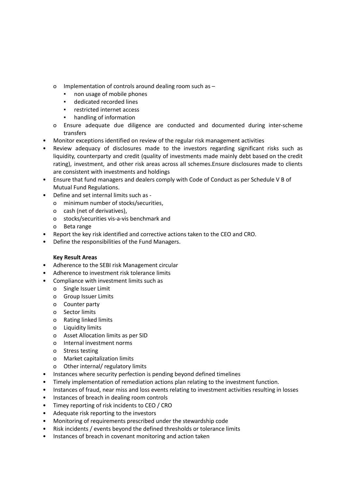- o Implementation of controls around dealing room such as
	- non usage of mobile phones
	- dedicated recorded lines
	- restricted internet access
	- handling of information
- o Ensure adequate due diligence are conducted and documented during inter-scheme transfers
- Monitor exceptions identified on review of the regular risk management activities
- Review adequacy of disclosures made to the investors regarding significant risks such as liquidity, counterparty and credit (quality of investments made mainly debt based on the credit rating), investment, and other risk areas across all schemes.Ensure disclosures made to clients are consistent with investments and holdings
- Ensure that fund managers and dealers comply with Code of Conduct as per Schedule V B of Mutual Fund Regulations.
- Define and set internal limits such as
	- o minimum number of stocks/securities,
	- o cash (net of derivatives),
	- o stocks/securities vis-a-vis benchmark and
	- o Beta range
- Report the key risk identified and corrective actions taken to the CEO and CRO.
- Define the responsibilities of the Fund Managers.

#### **Key Result Areas**

- Adherence to the SEBI risk Management circular
- Adherence to investment risk tolerance limits
- Compliance with investment limits such as
	- o Single Issuer Limit
	- o Group Issuer Limits
	- o Counter party
	- o Sector limits
	- o Rating linked limits
	- o Liquidity limits
	- o Asset Allocation limits as per SID
	- o Internal investment norms
	- o Stress testing
	- o Market capitalization limits
	- o Other internal/ regulatory limits
- Instances where security perfection is pending beyond defined timelines
- Timely implementation of remediation actions plan relating to the investment function.
- Instances of fraud, near miss and loss events relating to investment activities resulting in losses
- Instances of breach in dealing room controls
- Timey reporting of risk incidents to CEO / CRO
- Adequate risk reporting to the investors
- Monitoring of requirements prescribed under the stewardship code
- Risk incidents / events beyond the defined thresholds or tolerance limits
- Instances of breach in covenant monitoring and action taken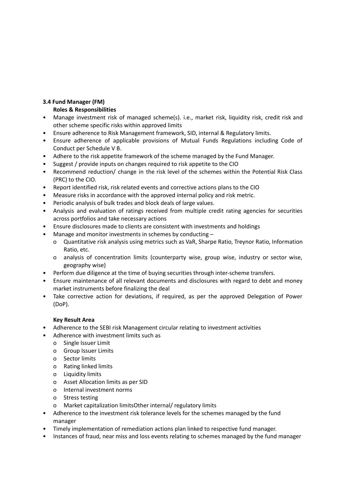# **3.4 Fund Manager (FM)**

# **Roles & Responsibilities**

- Manage investment risk of managed scheme(s). i.e., market risk, liquidity risk, credit risk and other scheme specific risks within approved limits
- Ensure adherence to Risk Management framework, SID, internal & Regulatory limits.
- Ensure adherence of applicable provisions of Mutual Funds Regulations including Code of Conduct per Schedule V B.
- Adhere to the risk appetite framework of the scheme managed by the Fund Manager.
- Suggest / provide inputs on changes required to risk appetite to the CIO
- Recommend reduction/ change in the risk level of the schemes within the Potential Risk Class (PRC) to the CIO.
- Report identified risk, risk related events and corrective actions plans to the CIO
- Measure risks in accordance with the approved internal policy and risk metric.
- Periodic analysis of bulk trades and block deals of large values.
- Analysis and evaluation of ratings received from multiple credit rating agencies for securities across portfolios and take necessary actions
- Ensure disclosures made to clients are consistent with investments and holdings
- Manage and monitor investments in schemes by conducting
	- o Quantitative risk analysis using metrics such as VaR, Sharpe Ratio, Treynor Ratio, Information Ratio, etc.
	- o analysis of concentration limits (counterparty wise, group wise, industry or sector wise, geography wise)
- Perform due diligence at the time of buying securities through inter-scheme transfers.
- Ensure maintenance of all relevant documents and disclosures with regard to debt and money market instruments before finalizing the deal
- Take corrective action for deviations, if required, as per the approved Delegation of Power (DoP).

## **Key Result Area**

- Adherence to the SEBI risk Management circular relating to investment activities
- Adherence with investment limits such as
	- o Single Issuer Limit
	- o Group Issuer Limits
	- o Sector limits
	- o Rating linked limits
	- o Liquidity limits
	- o Asset Allocation limits as per SID
	- o Internal investment norms
	- o Stress testing
	- o Market capitalization limitsOther internal/ regulatory limits
- Adherence to the investment risk tolerance levels for the schemes managed by the fund manager
- Timely implementation of remediation actions plan linked to respective fund manager.
- Instances of fraud, near miss and loss events relating to schemes managed by the fund manager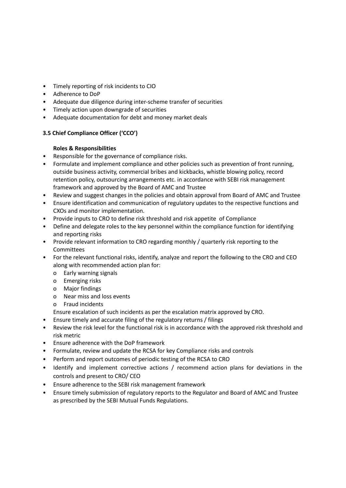- Timely reporting of risk incidents to CIO
- Adherence to DoP
- Adequate due diligence during inter-scheme transfer of securities
- Timely action upon downgrade of securities
- Adequate documentation for debt and money market deals

# **3.5 Chief Compliance Officer ('CCO')**

## **Roles & Responsibilities**

- Responsible for the governance of compliance risks.
- Formulate and implement compliance and other policies such as prevention of front running, outside business activity, commercial bribes and kickbacks, whistle blowing policy, record retention policy, outsourcing arrangements etc. in accordance with SEBI risk management framework and approved by the Board of AMC and Trustee
- Review and suggest changes in the policies and obtain approval from Board of AMC and Trustee
- Ensure identification and communication of regulatory updates to the respective functions and CXOs and monitor implementation.
- Provide inputs to CRO to define risk threshold and risk appetite of Compliance
- Define and delegate roles to the key personnel within the compliance function for identifying and reporting risks
- Provide relevant information to CRO regarding monthly / quarterly risk reporting to the **Committees**
- For the relevant functional risks, identify, analyze and report the following to the CRO and CEO along with recommended action plan for:
	- o Early warning signals
	- o Emerging risks
	- o Major findings
	- o Near miss and loss events
	- o Fraud incidents

Ensure escalation of such incidents as per the escalation matrix approved by CRO.

- Ensure timely and accurate filing of the regulatory returns / filings
- Review the risk level for the functional risk is in accordance with the approved risk threshold and risk metric
- Ensure adherence with the DoP framework
- Formulate, review and update the RCSA for key Compliance risks and controls
- Perform and report outcomes of periodic testing of the RCSA to CRO
- Identify and implement corrective actions / recommend action plans for deviations in the controls and present to CRO/ CEO
- Ensure adherence to the SEBI risk management framework
- Ensure timely submission of regulatory reports to the Regulator and Board of AMC and Trustee as prescribed by the SEBI Mutual Funds Regulations.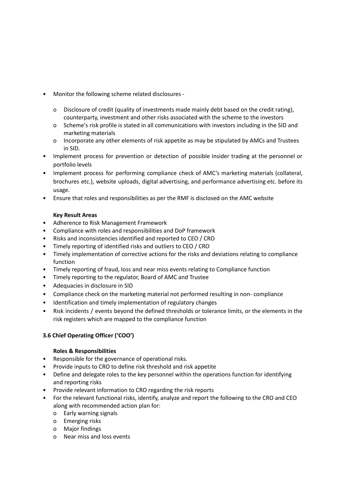- Monitor the following scheme related disclosures
	- o Disclosure of credit (quality of investments made mainly debt based on the credit rating), counterparty, investment and other risks associated with the scheme to the investors
	- o Scheme's risk profile is stated in all communications with investors including in the SID and marketing materials
	- o Incorporate any other elements of risk appetite as may be stipulated by AMCs and Trustees in SID.
- Implement process for prevention or detection of possible insider trading at the personnel or portfolio levels
- Implement process for performing compliance check of AMC's marketing materials (collateral, brochures etc.), website uploads, digital advertising, and performance advertising etc. before its usage.
- Ensure that roles and responsibilities as per the RMF is disclosed on the AMC website

#### **Key Result Areas**

- Adherence to Risk Management Framework
- Compliance with roles and responsibilities and DoP framework
- Risks and inconsistencies identified and reported to CEO / CRO
- Timely reporting of identified risks and outliers to CEO / CRO
- Timely implementation of corrective actions for the risks and deviations relating to compliance function
- Timely reporting of fraud, loss and near miss events relating to Compliance function
- Timely reporting to the regulator, Board of AMC and Trustee
- Adequacies in disclosure in SID
- Compliance check on the marketing material not performed resulting in non- compliance
- Identification and timely implementation of regulatory changes
- Risk incidents / events beyond the defined thresholds or tolerance limits, or the elements in the risk registers which are mapped to the compliance function

## **3.6 Chief Operating Officer ('COO')**

- Responsible for the governance of operational risks.
- Provide inputs to CRO to define risk threshold and risk appetite
- Define and delegate roles to the key personnel within the operations function for identifying and reporting risks
- Provide relevant information to CRO regarding the risk reports
- For the relevant functional risks, identify, analyze and report the following to the CRO and CEO along with recommended action plan for:
	- o Early warning signals
	- o Emerging risks
	- o Major findings
	- o Near miss and loss events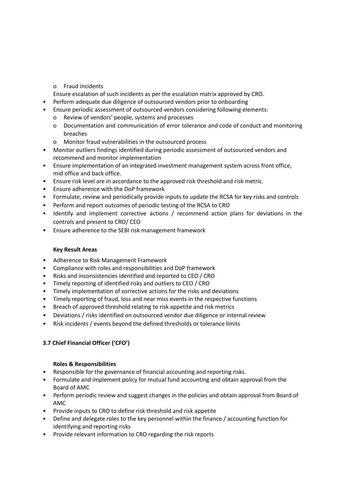o Fraud incidents

Ensure escalation of such incidents as per the escalation matrix approved by CRO.

- Perform adequate due diligence of outsourced vendors prior to onboarding
- Ensure periodic assessment of outsourced vendors considering following elements:
	- o Review of vendors' people, systems and processes
	- o Documentation and communication of error tolerance and code of conduct and monitoring breaches
	- o Monitor fraud vulnerabilities in the outsourced process
- Monitor outliers findings identified during periodic assessment of outsourced vendors and recommend and monitor implementation
- Ensure implementation of an integrated investment management system across front office, mid office and back office.
- Ensure risk level are in accordance to the approved risk threshold and risk metric.
- Ensure adherence with the DoP framework
- Formulate, review and periodically provide inputs to update the RCSA for key risks and controls
- Perform and report outcomes of periodic testing of the RCSA to CRO
- Identify and implement corrective actions / recommend action plans for deviations in the controls and present to CRO/ CEO
- Ensure adherence to the SEBI risk management framework

## **Key Result Areas**

- Adherence to Risk Management Framework
- Compliance with roles and responsibilities and DoP framework
- Risks and inconsistencies identified and reported to CEO / CRO
- Timely reporting of identified risks and outliers to CEO / CRO
- Timely implementation of corrective actions for the risks and deviations
- Timely reporting of fraud, loss and near miss events in the respective functions
- Breach of approved threshold relating to risk appetite and risk metrics
- Deviations / risks identified on outsourced vendor due diligence or internal review
- Risk incidents / events beyond the defined thresholds or tolerance limits

# **3.7 Chief Financial Officer ('CFO')**

- Responsible for the governance of financial accounting and reporting risks.
- Formulate and implement policy for mutual fund accounting and obtain approval from the Board of AMC
- Perform periodic review and suggest changes in the policies and obtain approval from Board of AMC
- Provide inputs to CRO to define risk threshold and risk appetite
- Define and delegate roles to the key personnel within the finance / accounting function for identifying and reporting risks
- Provide relevant information to CRO regarding the risk reports